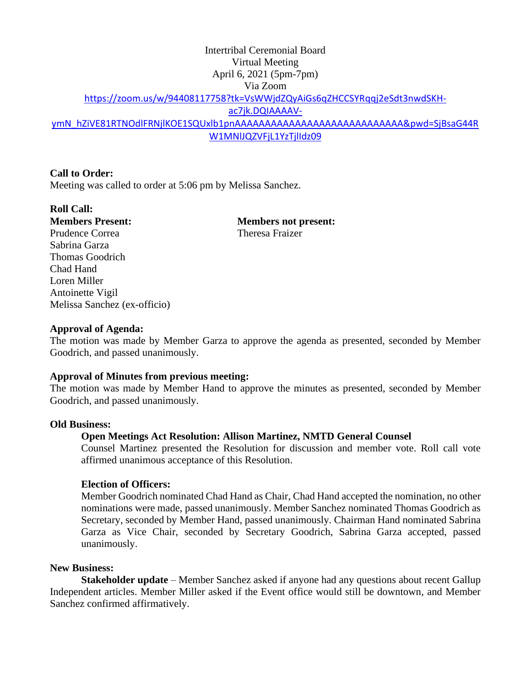## Intertribal Ceremonial Board Virtual Meeting April 6, 2021 (5pm-7pm) Via Zoom [https://zoom.us/w/94408117758?tk=VsWWjdZQyAiGs6qZHCCSYRqqj2eSdt3nwdSKH](https://zoom.us/w/94408117758?tk=VsWWjdZQyAiGs6qZHCCSYRqqj2eSdt3nwdSKH-ac7jk.DQIAAAAV-ymN_hZiVE81RTNOdlFRNjlKOE1SQUxlb1pnAAAAAAAAAAAAAAAAAAAAAAAAAAAA&pwd=SjBsaG44RW1MNlJQZVFjL1YzTjlIdz09)[ac7jk.DQIAAAAV](https://zoom.us/w/94408117758?tk=VsWWjdZQyAiGs6qZHCCSYRqqj2eSdt3nwdSKH-ac7jk.DQIAAAAV-ymN_hZiVE81RTNOdlFRNjlKOE1SQUxlb1pnAAAAAAAAAAAAAAAAAAAAAAAAAAAA&pwd=SjBsaG44RW1MNlJQZVFjL1YzTjlIdz09)[ymN\\_hZiVE81RTNOdlFRNjlKOE1SQUxlb1pnAAAAAAAAAAAAAAAAAAAAAAAAAAAA&pwd=SjBsaG44R](https://zoom.us/w/94408117758?tk=VsWWjdZQyAiGs6qZHCCSYRqqj2eSdt3nwdSKH-ac7jk.DQIAAAAV-ymN_hZiVE81RTNOdlFRNjlKOE1SQUxlb1pnAAAAAAAAAAAAAAAAAAAAAAAAAAAA&pwd=SjBsaG44RW1MNlJQZVFjL1YzTjlIdz09) W1MNlJQZVFiL1YzTilIdz09

#### **Call to Order:**

Meeting was called to order at 5:06 pm by Melissa Sanchez.

# **Roll Call:**

Prudence Correa Theresa Fraizer Sabrina Garza Thomas Goodrich Chad Hand Loren Miller Antoinette Vigil Melissa Sanchez (ex-officio)

**Members Present: Members not present:** 

#### **Approval of Agenda:**

The motion was made by Member Garza to approve the agenda as presented, seconded by Member Goodrich, and passed unanimously.

#### **Approval of Minutes from previous meeting:**

The motion was made by Member Hand to approve the minutes as presented, seconded by Member Goodrich, and passed unanimously.

#### **Old Business:**

#### **Open Meetings Act Resolution: Allison Martinez, NMTD General Counsel**

Counsel Martinez presented the Resolution for discussion and member vote. Roll call vote affirmed unanimous acceptance of this Resolution.

#### **Election of Officers:**

Member Goodrich nominated Chad Hand as Chair, Chad Hand accepted the nomination, no other nominations were made, passed unanimously. Member Sanchez nominated Thomas Goodrich as Secretary, seconded by Member Hand, passed unanimously. Chairman Hand nominated Sabrina Garza as Vice Chair, seconded by Secretary Goodrich, Sabrina Garza accepted, passed unanimously.

### **New Business:**

**Stakeholder update** – Member Sanchez asked if anyone had any questions about recent Gallup Independent articles. Member Miller asked if the Event office would still be downtown, and Member Sanchez confirmed affirmatively.